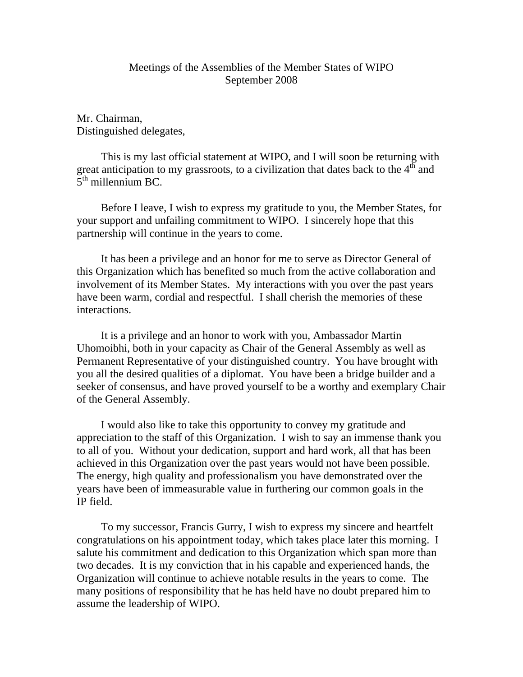## Meetings of the Assemblies of the Member States of WIPO September 2008

Mr. Chairman, Distinguished delegates,

 This is my last official statement at WIPO, and I will soon be returning with great anticipation to my grassroots, to a civilization that dates back to the  $4<sup>th</sup>$  and  $5<sup>th</sup>$  millennium BC.

 Before I leave, I wish to express my gratitude to you, the Member States, for your support and unfailing commitment to WIPO. I sincerely hope that this partnership will continue in the years to come.

 It has been a privilege and an honor for me to serve as Director General of this Organization which has benefited so much from the active collaboration and involvement of its Member States. My interactions with you over the past years have been warm, cordial and respectful. I shall cherish the memories of these interactions.

 It is a privilege and an honor to work with you, Ambassador Martin Uhomoibhi, both in your capacity as Chair of the General Assembly as well as Permanent Representative of your distinguished country. You have brought with you all the desired qualities of a diplomat. You have been a bridge builder and a seeker of consensus, and have proved yourself to be a worthy and exemplary Chair of the General Assembly.

 I would also like to take this opportunity to convey my gratitude and appreciation to the staff of this Organization. I wish to say an immense thank you to all of you. Without your dedication, support and hard work, all that has been achieved in this Organization over the past years would not have been possible. The energy, high quality and professionalism you have demonstrated over the years have been of immeasurable value in furthering our common goals in the IP field.

 To my successor, Francis Gurry, I wish to express my sincere and heartfelt congratulations on his appointment today, which takes place later this morning. I salute his commitment and dedication to this Organization which span more than two decades. It is my conviction that in his capable and experienced hands, the Organization will continue to achieve notable results in the years to come. The many positions of responsibility that he has held have no doubt prepared him to assume the leadership of WIPO.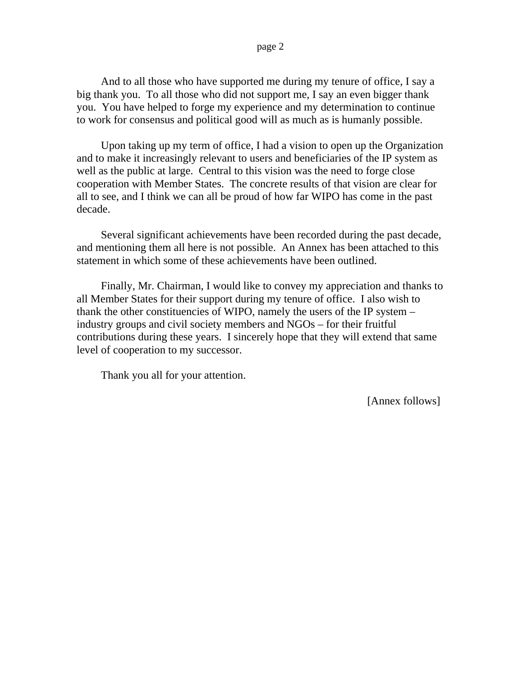And to all those who have supported me during my tenure of office, I say a big thank you. To all those who did not support me, I say an even bigger thank you. You have helped to forge my experience and my determination to continue to work for consensus and political good will as much as is humanly possible.

 Upon taking up my term of office, I had a vision to open up the Organization and to make it increasingly relevant to users and beneficiaries of the IP system as well as the public at large. Central to this vision was the need to forge close cooperation with Member States. The concrete results of that vision are clear for all to see, and I think we can all be proud of how far WIPO has come in the past decade.

 Several significant achievements have been recorded during the past decade, and mentioning them all here is not possible. An Annex has been attached to this statement in which some of these achievements have been outlined.

 Finally, Mr. Chairman, I would like to convey my appreciation and thanks to all Member States for their support during my tenure of office. I also wish to thank the other constituencies of WIPO, namely the users of the IP system – industry groups and civil society members and NGOs – for their fruitful contributions during these years. I sincerely hope that they will extend that same level of cooperation to my successor.

Thank you all for your attention.

[Annex follows]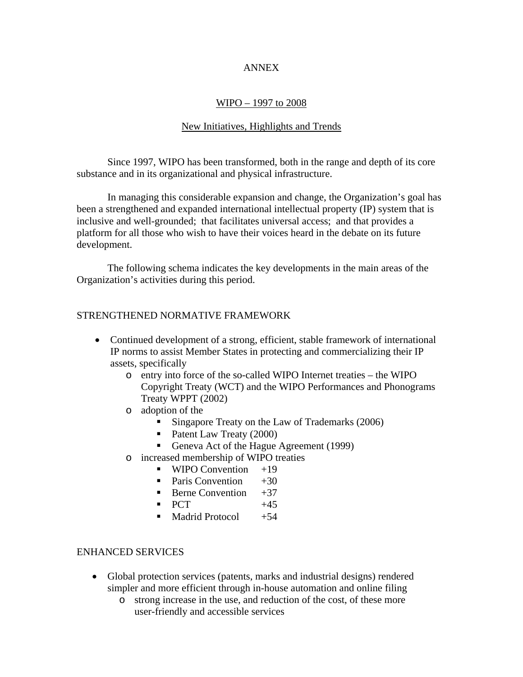### ANNEX

## WIPO – 1997 to 2008

## New Initiatives, Highlights and Trends

 Since 1997, WIPO has been transformed, both in the range and depth of its core substance and in its organizational and physical infrastructure.

 In managing this considerable expansion and change, the Organization's goal has been a strengthened and expanded international intellectual property (IP) system that is inclusive and well-grounded; that facilitates universal access; and that provides a platform for all those who wish to have their voices heard in the debate on its future development.

 The following schema indicates the key developments in the main areas of the Organization's activities during this period.

### STRENGTHENED NORMATIVE FRAMEWORK

- Continued development of a strong, efficient, stable framework of international IP norms to assist Member States in protecting and commercializing their IP assets, specifically
	- o entry into force of the so-called WIPO Internet treaties the WIPO Copyright Treaty (WCT) and the WIPO Performances and Phonograms Treaty WPPT (2002)
	- o adoption of the
		- Singapore Treaty on the Law of Trademarks (2006)
		- Patent Law Treaty (2000)
		- Geneva Act of the Hague Agreement (1999)
	- o increased membership of WIPO treaties
		- $\blacksquare$  WIPO Convention  $+19$
		- Paris Convention  $+30$
		- **Berne Convention**  $+37$
		- $PCT$  +45
		- $\blacksquare$  Madrid Protocol  $+54$

### ENHANCED SERVICES

- Global protection services (patents, marks and industrial designs) rendered simpler and more efficient through in-house automation and online filing
	- o strong increase in the use, and reduction of the cost, of these more user-friendly and accessible services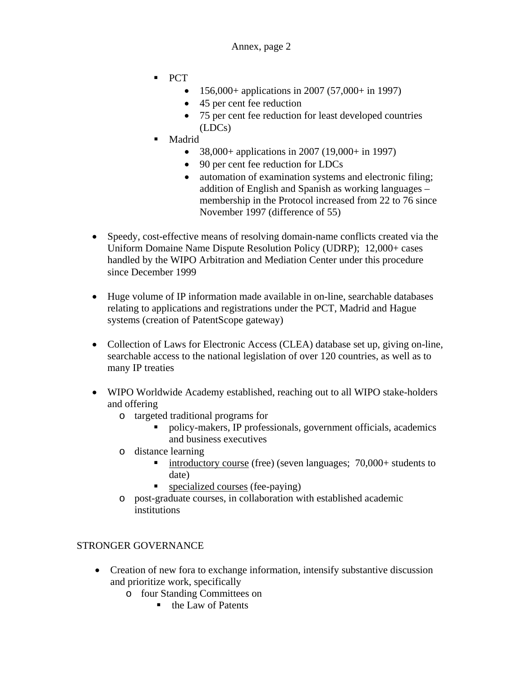- PCT
	- 156,000+ applications in 2007 (57,000+ in 1997)
	- 45 per cent fee reduction
	- 75 per cent fee reduction for least developed countries (LDCs)
- Madrid
	- 38,000+ applications in 2007 (19,000+ in 1997)
	- 90 per cent fee reduction for LDCs
	- automation of examination systems and electronic filing; addition of English and Spanish as working languages – membership in the Protocol increased from 22 to 76 since November 1997 (difference of 55)
- Speedy, cost-effective means of resolving domain-name conflicts created via the Uniform Domaine Name Dispute Resolution Policy (UDRP); 12,000+ cases handled by the WIPO Arbitration and Mediation Center under this procedure since December 1999
- Huge volume of IP information made available in on-line, searchable databases relating to applications and registrations under the PCT, Madrid and Hague systems (creation of PatentScope gateway)
- Collection of Laws for Electronic Access (CLEA) database set up, giving on-line, searchable access to the national legislation of over 120 countries, as well as to many IP treaties
- WIPO Worldwide Academy established, reaching out to all WIPO stake-holders and offering
	- o targeted traditional programs for
		- policy-makers, IP professionals, government officials, academics and business executives
	- o distance learning
		- introductory course (free) (seven languages;  $70,000+$  students to date)
		- specialized courses (fee-paying)
	- o post-graduate courses, in collaboration with established academic institutions

# STRONGER GOVERNANCE

- Creation of new fora to exchange information, intensify substantive discussion and prioritize work, specifically
	- o four Standing Committees on
		- $\blacksquare$  the Law of Patents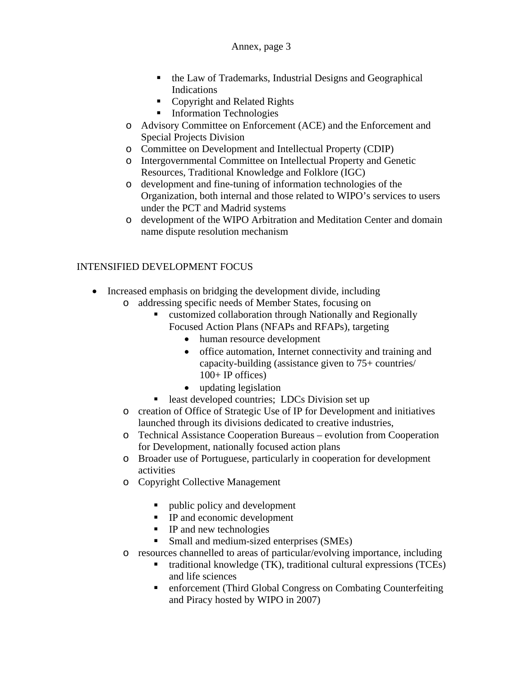### Annex, page 3

- the Law of Trademarks, Industrial Designs and Geographical Indications
- Copyright and Related Rights
- **Information Technologies**
- o Advisory Committee on Enforcement (ACE) and the Enforcement and Special Projects Division
- o Committee on Development and Intellectual Property (CDIP)
- o Intergovernmental Committee on Intellectual Property and Genetic Resources, Traditional Knowledge and Folklore (IGC)
- o development and fine-tuning of information technologies of the Organization, both internal and those related to WIPO's services to users under the PCT and Madrid systems
- o development of the WIPO Arbitration and Meditation Center and domain name dispute resolution mechanism

# INTENSIFIED DEVELOPMENT FOCUS

- Increased emphasis on bridging the development divide, including
	- o addressing specific needs of Member States, focusing on
		- customized collaboration through Nationally and Regionally Focused Action Plans (NFAPs and RFAPs), targeting
			- human resource development
			- office automation, Internet connectivity and training and capacity-building (assistance given to 75+ countries/ 100+ IP offices)
			- updating legislation
		- least developed countries; LDCs Division set up
	- o creation of Office of Strategic Use of IP for Development and initiatives launched through its divisions dedicated to creative industries,
	- o Technical Assistance Cooperation Bureaus evolution from Cooperation for Development, nationally focused action plans
	- o Broader use of Portuguese, particularly in cooperation for development activities
	- o Copyright Collective Management
		- ultimate public policy and development
		- **IP** and economic development
		- **IP** and new technologies
		- Small and medium-sized enterprises (SMEs)
	- o resources channelled to areas of particular/evolving importance, including
		- traditional knowledge (TK), traditional cultural expressions (TCEs) and life sciences
		- enforcement (Third Global Congress on Combating Counterfeiting and Piracy hosted by WIPO in 2007)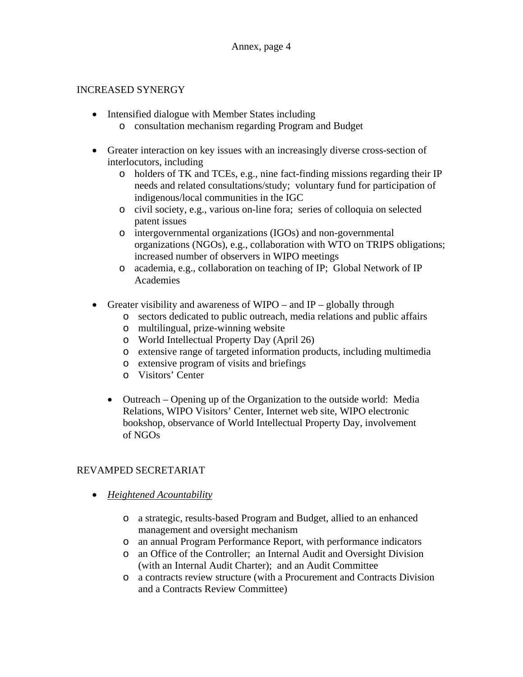### INCREASED SYNERGY

- Intensified dialogue with Member States including o consultation mechanism regarding Program and Budget
- Greater interaction on key issues with an increasingly diverse cross-section of interlocutors, including
	- o holders of TK and TCEs, e.g., nine fact-finding missions regarding their IP needs and related consultations/study; voluntary fund for participation of indigenous/local communities in the IGC
	- o civil society, e.g., various on-line fora; series of colloquia on selected patent issues
	- o intergovernmental organizations (IGOs) and non-governmental organizations (NGOs), e.g., collaboration with WTO on TRIPS obligations; increased number of observers in WIPO meetings
	- o academia, e.g., collaboration on teaching of IP; Global Network of IP Academies
- Greater visibility and awareness of WIPO and IP globally through
	- o sectors dedicated to public outreach, media relations and public affairs
	- o multilingual, prize-winning website
	- o World Intellectual Property Day (April 26)
	- o extensive range of targeted information products, including multimedia
	- o extensive program of visits and briefings
	- o Visitors' Center
	- Outreach Opening up of the Organization to the outside world: Media Relations, WIPO Visitors' Center, Internet web site, WIPO electronic bookshop, observance of World Intellectual Property Day, involvement of NGOs

## REVAMPED SECRETARIAT

- *Heightened Acountability*
	- o a strategic, results-based Program and Budget, allied to an enhanced management and oversight mechanism
	- o an annual Program Performance Report, with performance indicators
	- o an Office of the Controller; an Internal Audit and Oversight Division (with an Internal Audit Charter); and an Audit Committee
	- o a contracts review structure (with a Procurement and Contracts Division and a Contracts Review Committee)